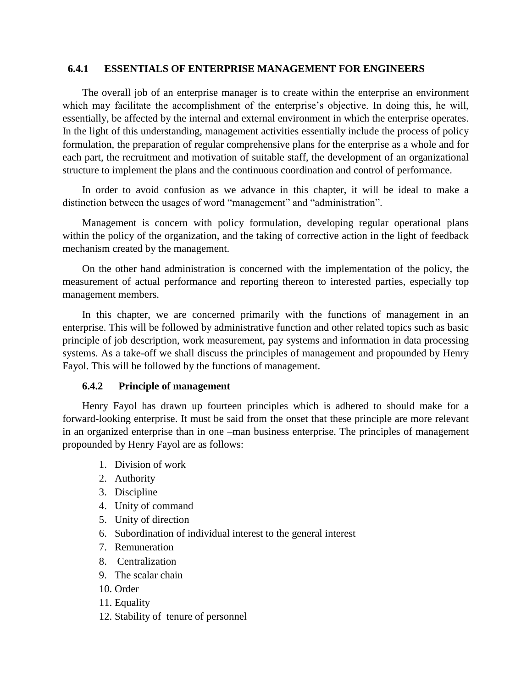#### **6.4.1 ESSENTIALS OF ENTERPRISE MANAGEMENT FOR ENGINEERS**

The overall job of an enterprise manager is to create within the enterprise an environment which may facilitate the accomplishment of the enterprise's objective. In doing this, he will, essentially, be affected by the internal and external environment in which the enterprise operates. In the light of this understanding, management activities essentially include the process of policy formulation, the preparation of regular comprehensive plans for the enterprise as a whole and for each part, the recruitment and motivation of suitable staff, the development of an organizational structure to implement the plans and the continuous coordination and control of performance.

In order to avoid confusion as we advance in this chapter, it will be ideal to make a distinction between the usages of word "management" and "administration".

Management is concern with policy formulation, developing regular operational plans within the policy of the organization, and the taking of corrective action in the light of feedback mechanism created by the management.

On the other hand administration is concerned with the implementation of the policy, the measurement of actual performance and reporting thereon to interested parties, especially top management members.

In this chapter, we are concerned primarily with the functions of management in an enterprise. This will be followed by administrative function and other related topics such as basic principle of job description, work measurement, pay systems and information in data processing systems. As a take-off we shall discuss the principles of management and propounded by Henry Fayol. This will be followed by the functions of management.

#### **6.4.2 Principle of management**

Henry Fayol has drawn up fourteen principles which is adhered to should make for a forward-looking enterprise. It must be said from the onset that these principle are more relevant in an organized enterprise than in one –man business enterprise. The principles of management propounded by Henry Fayol are as follows:

- 1. Division of work
- 2. Authority
- 3. Discipline
- 4. Unity of command
- 5. Unity of direction
- 6. Subordination of individual interest to the general interest
- 7. Remuneration
- 8. Centralization
- 9. The scalar chain
- 10. Order
- 11. Equality
- 12. Stability of tenure of personnel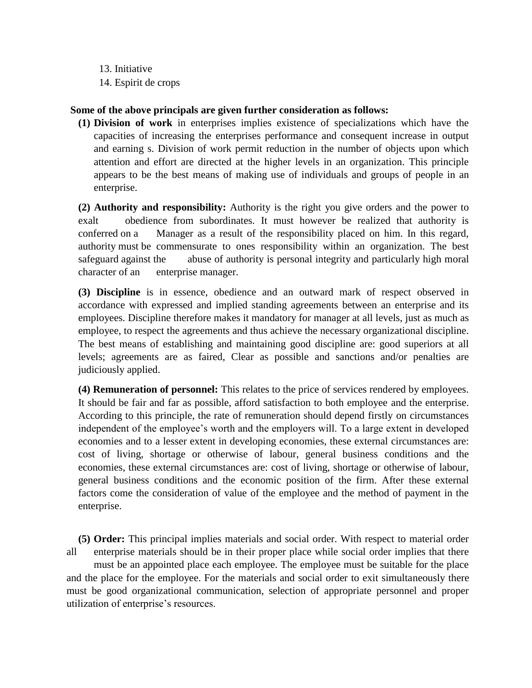13. Initiative

14. Espirit de crops

# **Some of the above principals are given further consideration as follows:**

**(1) Division of work** in enterprises implies existence of specializations which have the capacities of increasing the enterprises performance and consequent increase in output and earning s. Division of work permit reduction in the number of objects upon which attention and effort are directed at the higher levels in an organization. This principle appears to be the best means of making use of individuals and groups of people in an enterprise.

**(2) Authority and responsibility:** Authority is the right you give orders and the power to exalt obedience from subordinates. It must however be realized that authority is conferred on a Manager as a result of the responsibility placed on him. In this regard, authority must be commensurate to ones responsibility within an organization. The best safeguard against the abuse of authority is personal integrity and particularly high moral character of an enterprise manager.

**(3) Discipline** is in essence, obedience and an outward mark of respect observed in accordance with expressed and implied standing agreements between an enterprise and its employees. Discipline therefore makes it mandatory for manager at all levels, just as much as employee, to respect the agreements and thus achieve the necessary organizational discipline. The best means of establishing and maintaining good discipline are: good superiors at all levels; agreements are as faired, Clear as possible and sanctions and/or penalties are judiciously applied.

**(4) Remuneration of personnel:** This relates to the price of services rendered by employees. It should be fair and far as possible, afford satisfaction to both employee and the enterprise. According to this principle, the rate of remuneration should depend firstly on circumstances independent of the employee's worth and the employers will. To a large extent in developed economies and to a lesser extent in developing economies, these external circumstances are: cost of living, shortage or otherwise of labour, general business conditions and the economies, these external circumstances are: cost of living, shortage or otherwise of labour, general business conditions and the economic position of the firm. After these external factors come the consideration of value of the employee and the method of payment in the enterprise.

**(5) Order:** This principal implies materials and social order. With respect to material order all enterprise materials should be in their proper place while social order implies that there must be an appointed place each employee. The employee must be suitable for the place and the place for the employee. For the materials and social order to exit simultaneously there must be good organizational communication, selection of appropriate personnel and proper utilization of enterprise's resources.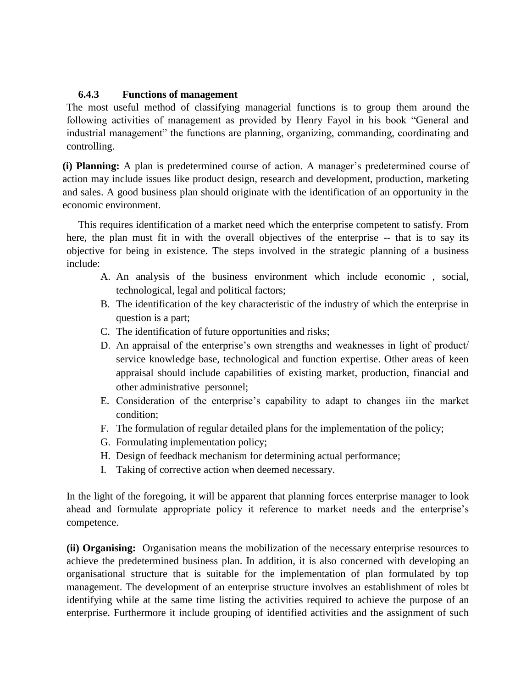### **6.4.3 Functions of management**

The most useful method of classifying managerial functions is to group them around the following activities of management as provided by Henry Fayol in his book "General and industrial management" the functions are planning, organizing, commanding, coordinating and controlling.

**(i) Planning:** A plan is predetermined course of action. A manager's predetermined course of action may include issues like product design, research and development, production, marketing and sales. A good business plan should originate with the identification of an opportunity in the economic environment.

This requires identification of a market need which the enterprise competent to satisfy. From here, the plan must fit in with the overall objectives of the enterprise -- that is to say its objective for being in existence. The steps involved in the strategic planning of a business include:

- A. An analysis of the business environment which include economic , social, technological, legal and political factors;
- B. The identification of the key characteristic of the industry of which the enterprise in question is a part;
- C. The identification of future opportunities and risks;
- D. An appraisal of the enterprise's own strengths and weaknesses in light of product service knowledge base, technological and function expertise. Other areas of keen appraisal should include capabilities of existing market, production, financial and other administrative personnel;
- E. Consideration of the enterprise's capability to adapt to changes iin the market condition;
- F. The formulation of regular detailed plans for the implementation of the policy;
- G. Formulating implementation policy;
- H. Design of feedback mechanism for determining actual performance;
- I. Taking of corrective action when deemed necessary.

In the light of the foregoing, it will be apparent that planning forces enterprise manager to look ahead and formulate appropriate policy it reference to market needs and the enterprise's competence.

**(ii) Organising:** Organisation means the mobilization of the necessary enterprise resources to achieve the predetermined business plan. In addition, it is also concerned with developing an organisational structure that is suitable for the implementation of plan formulated by top management. The development of an enterprise structure involves an establishment of roles bt identifying while at the same time listing the activities required to achieve the purpose of an enterprise. Furthermore it include grouping of identified activities and the assignment of such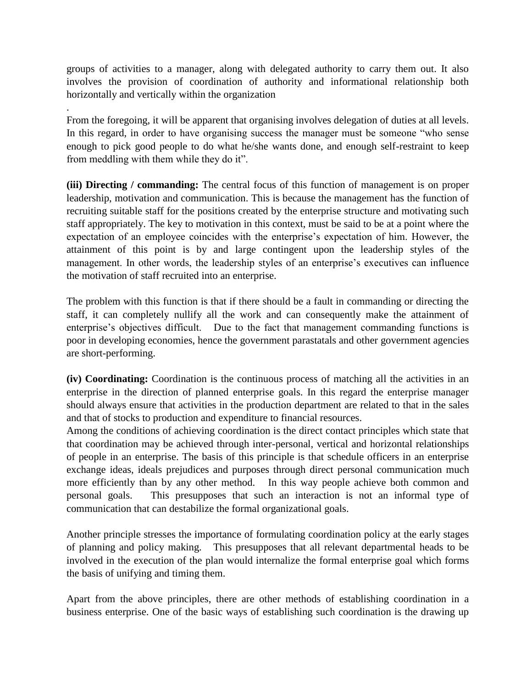groups of activities to a manager, along with delegated authority to carry them out. It also involves the provision of coordination of authority and informational relationship both horizontally and vertically within the organization

.

From the foregoing, it will be apparent that organising involves delegation of duties at all levels. In this regard, in order to have organising success the manager must be someone "who sense enough to pick good people to do what he/she wants done, and enough self-restraint to keep from meddling with them while they do it".

**(iii) Directing / commanding:** The central focus of this function of management is on proper leadership, motivation and communication. This is because the management has the function of recruiting suitable staff for the positions created by the enterprise structure and motivating such staff appropriately. The key to motivation in this context, must be said to be at a point where the expectation of an employee coincides with the enterprise's expectation of him. However, the attainment of this point is by and large contingent upon the leadership styles of the management. In other words, the leadership styles of an enterprise's executives can influence the motivation of staff recruited into an enterprise.

The problem with this function is that if there should be a fault in commanding or directing the staff, it can completely nullify all the work and can consequently make the attainment of enterprise's objectives difficult. Due to the fact that management commanding functions is poor in developing economies, hence the government parastatals and other government agencies are short-performing.

**(iv) Coordinating:** Coordination is the continuous process of matching all the activities in an enterprise in the direction of planned enterprise goals. In this regard the enterprise manager should always ensure that activities in the production department are related to that in the sales and that of stocks to production and expenditure to financial resources.

Among the conditions of achieving coordination is the direct contact principles which state that that coordination may be achieved through inter-personal, vertical and horizontal relationships of people in an enterprise. The basis of this principle is that schedule officers in an enterprise exchange ideas, ideals prejudices and purposes through direct personal communication much more efficiently than by any other method. In this way people achieve both common and personal goals. This presupposes that such an interaction is not an informal type of communication that can destabilize the formal organizational goals.

Another principle stresses the importance of formulating coordination policy at the early stages of planning and policy making. This presupposes that all relevant departmental heads to be involved in the execution of the plan would internalize the formal enterprise goal which forms the basis of unifying and timing them.

Apart from the above principles, there are other methods of establishing coordination in a business enterprise. One of the basic ways of establishing such coordination is the drawing up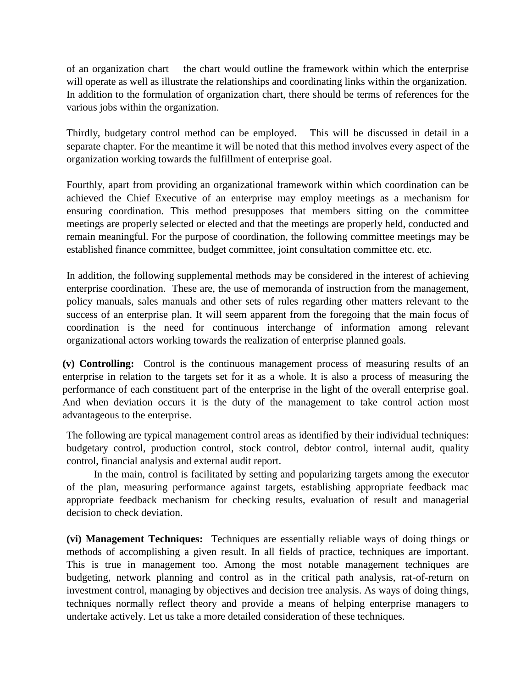of an organization chart the chart would outline the framework within which the enterprise will operate as well as illustrate the relationships and coordinating links within the organization. In addition to the formulation of organization chart, there should be terms of references for the various jobs within the organization.

Thirdly, budgetary control method can be employed. This will be discussed in detail in a separate chapter. For the meantime it will be noted that this method involves every aspect of the organization working towards the fulfillment of enterprise goal.

Fourthly, apart from providing an organizational framework within which coordination can be achieved the Chief Executive of an enterprise may employ meetings as a mechanism for ensuring coordination. This method presupposes that members sitting on the committee meetings are properly selected or elected and that the meetings are properly held, conducted and remain meaningful. For the purpose of coordination, the following committee meetings may be established finance committee, budget committee, joint consultation committee etc. etc.

In addition, the following supplemental methods may be considered in the interest of achieving enterprise coordination. These are, the use of memoranda of instruction from the management, policy manuals, sales manuals and other sets of rules regarding other matters relevant to the success of an enterprise plan. It will seem apparent from the foregoing that the main focus of coordination is the need for continuous interchange of information among relevant organizational actors working towards the realization of enterprise planned goals.

**(v) Controlling:** Control is the continuous management process of measuring results of an enterprise in relation to the targets set for it as a whole. It is also a process of measuring the performance of each constituent part of the enterprise in the light of the overall enterprise goal. And when deviation occurs it is the duty of the management to take control action most advantageous to the enterprise.

The following are typical management control areas as identified by their individual techniques: budgetary control, production control, stock control, debtor control, internal audit, quality control, financial analysis and external audit report.

In the main, control is facilitated by setting and popularizing targets among the executor of the plan, measuring performance against targets, establishing appropriate feedback mac appropriate feedback mechanism for checking results, evaluation of result and managerial decision to check deviation.

**(vi) Management Techniques:** Techniques are essentially reliable ways of doing things or methods of accomplishing a given result. In all fields of practice, techniques are important. This is true in management too. Among the most notable management techniques are budgeting, network planning and control as in the critical path analysis, rat-of-return on investment control, managing by objectives and decision tree analysis. As ways of doing things, techniques normally reflect theory and provide a means of helping enterprise managers to undertake actively. Let us take a more detailed consideration of these techniques.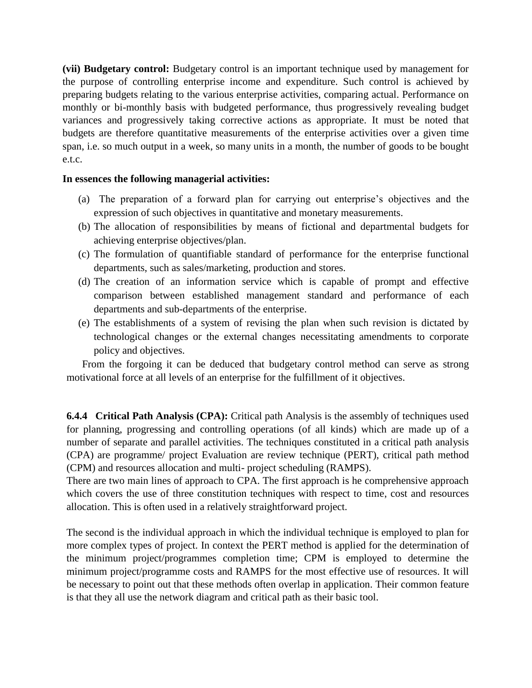**(vii) Budgetary control:** Budgetary control is an important technique used by management for the purpose of controlling enterprise income and expenditure. Such control is achieved by preparing budgets relating to the various enterprise activities, comparing actual. Performance on monthly or bi-monthly basis with budgeted performance, thus progressively revealing budget variances and progressively taking corrective actions as appropriate. It must be noted that budgets are therefore quantitative measurements of the enterprise activities over a given time span, i.e. so much output in a week, so many units in a month, the number of goods to be bought e.t.c.

# **In essences the following managerial activities:**

- (a) The preparation of a forward plan for carrying out enterprise's objectives and the expression of such objectives in quantitative and monetary measurements.
- (b) The allocation of responsibilities by means of fictional and departmental budgets for achieving enterprise objectives/plan.
- (c) The formulation of quantifiable standard of performance for the enterprise functional departments, such as sales/marketing, production and stores.
- (d) The creation of an information service which is capable of prompt and effective comparison between established management standard and performance of each departments and sub-departments of the enterprise.
- (e) The establishments of a system of revising the plan when such revision is dictated by technological changes or the external changes necessitating amendments to corporate policy and objectives.

From the forgoing it can be deduced that budgetary control method can serve as strong motivational force at all levels of an enterprise for the fulfillment of it objectives.

**6.4.4 Critical Path Analysis (CPA):** Critical path Analysis is the assembly of techniques used for planning, progressing and controlling operations (of all kinds) which are made up of a number of separate and parallel activities. The techniques constituted in a critical path analysis (CPA) are programme/ project Evaluation are review technique (PERT), critical path method (CPM) and resources allocation and multi- project scheduling (RAMPS).

There are two main lines of approach to CPA. The first approach is he comprehensive approach which covers the use of three constitution techniques with respect to time, cost and resources allocation. This is often used in a relatively straightforward project.

The second is the individual approach in which the individual technique is employed to plan for more complex types of project. In context the PERT method is applied for the determination of the minimum project/programmes completion time; CPM is employed to determine the minimum project/programme costs and RAMPS for the most effective use of resources. It will be necessary to point out that these methods often overlap in application. Their common feature is that they all use the network diagram and critical path as their basic tool.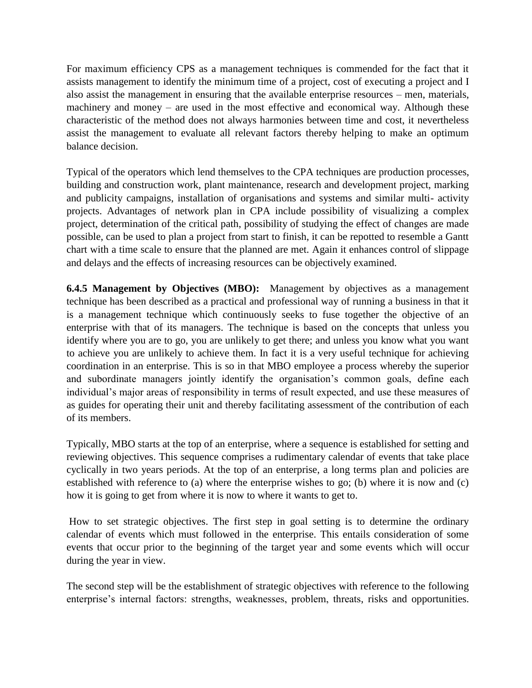For maximum efficiency CPS as a management techniques is commended for the fact that it assists management to identify the minimum time of a project, cost of executing a project and I also assist the management in ensuring that the available enterprise resources – men, materials, machinery and money – are used in the most effective and economical way. Although these characteristic of the method does not always harmonies between time and cost, it nevertheless assist the management to evaluate all relevant factors thereby helping to make an optimum balance decision.

Typical of the operators which lend themselves to the CPA techniques are production processes, building and construction work, plant maintenance, research and development project, marking and publicity campaigns, installation of organisations and systems and similar multi- activity projects. Advantages of network plan in CPA include possibility of visualizing a complex project, determination of the critical path, possibility of studying the effect of changes are made possible, can be used to plan a project from start to finish, it can be repotted to resemble a Gantt chart with a time scale to ensure that the planned are met. Again it enhances control of slippage and delays and the effects of increasing resources can be objectively examined.

**6.4.5 Management by Objectives (MBO):** Management by objectives as a management technique has been described as a practical and professional way of running a business in that it is a management technique which continuously seeks to fuse together the objective of an enterprise with that of its managers. The technique is based on the concepts that unless you identify where you are to go, you are unlikely to get there; and unless you know what you want to achieve you are unlikely to achieve them. In fact it is a very useful technique for achieving coordination in an enterprise. This is so in that MBO employee a process whereby the superior and subordinate managers jointly identify the organisation's common goals, define each individual's major areas of responsibility in terms of result expected, and use these measures of as guides for operating their unit and thereby facilitating assessment of the contribution of each of its members.

Typically, MBO starts at the top of an enterprise, where a sequence is established for setting and reviewing objectives. This sequence comprises a rudimentary calendar of events that take place cyclically in two years periods. At the top of an enterprise, a long terms plan and policies are established with reference to (a) where the enterprise wishes to go; (b) where it is now and (c) how it is going to get from where it is now to where it wants to get to.

How to set strategic objectives. The first step in goal setting is to determine the ordinary calendar of events which must followed in the enterprise. This entails consideration of some events that occur prior to the beginning of the target year and some events which will occur during the year in view.

The second step will be the establishment of strategic objectives with reference to the following enterprise's internal factors: strengths, weaknesses, problem, threats, risks and opportunities.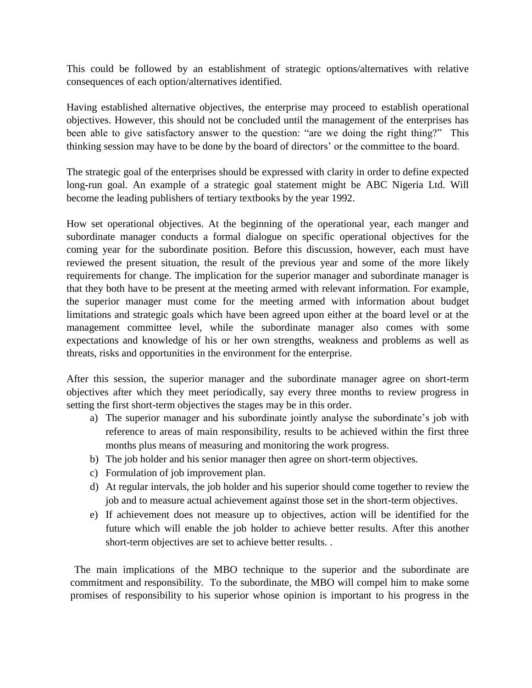This could be followed by an establishment of strategic options/alternatives with relative consequences of each option/alternatives identified.

Having established alternative objectives, the enterprise may proceed to establish operational objectives. However, this should not be concluded until the management of the enterprises has been able to give satisfactory answer to the question: "are we doing the right thing?" This thinking session may have to be done by the board of directors' or the committee to the board.

The strategic goal of the enterprises should be expressed with clarity in order to define expected long-run goal. An example of a strategic goal statement might be ABC Nigeria Ltd. Will become the leading publishers of tertiary textbooks by the year 1992.

How set operational objectives. At the beginning of the operational year, each manger and subordinate manager conducts a formal dialogue on specific operational objectives for the coming year for the subordinate position. Before this discussion, however, each must have reviewed the present situation, the result of the previous year and some of the more likely requirements for change. The implication for the superior manager and subordinate manager is that they both have to be present at the meeting armed with relevant information. For example, the superior manager must come for the meeting armed with information about budget limitations and strategic goals which have been agreed upon either at the board level or at the management committee level, while the subordinate manager also comes with some expectations and knowledge of his or her own strengths, weakness and problems as well as threats, risks and opportunities in the environment for the enterprise.

After this session, the superior manager and the subordinate manager agree on short-term objectives after which they meet periodically, say every three months to review progress in setting the first short-term objectives the stages may be in this order.

- a) The superior manager and his subordinate jointly analyse the subordinate's job with reference to areas of main responsibility, results to be achieved within the first three months plus means of measuring and monitoring the work progress.
- b) The job holder and his senior manager then agree on short-term objectives.
- c) Formulation of job improvement plan.
- d) At regular intervals, the job holder and his superior should come together to review the job and to measure actual achievement against those set in the short-term objectives.
- e) If achievement does not measure up to objectives, action will be identified for the future which will enable the job holder to achieve better results. After this another short-term objectives are set to achieve better results. .

The main implications of the MBO technique to the superior and the subordinate are commitment and responsibility. To the subordinate, the MBO will compel him to make some promises of responsibility to his superior whose opinion is important to his progress in the